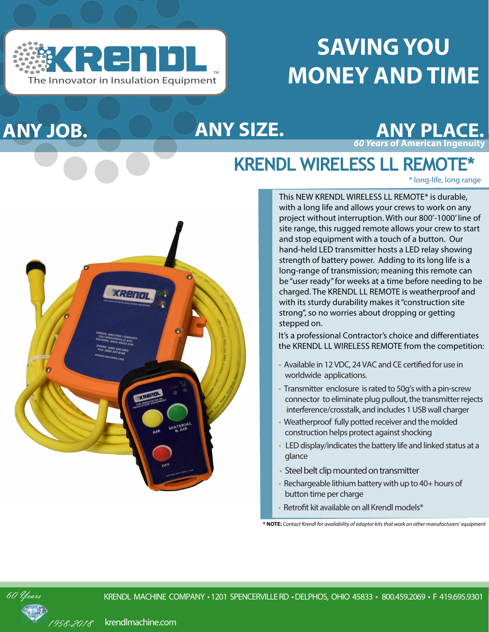

**ANY JOB.**

# **SAVING YOU MONEY AND TIME**



## **KRENDL WIRELESS LL REMOTE\***

\* long-life, long range



This NEW KRENDL WIRELESS LL REMOTE\* is durable, with a long life and allows your crews to work on any project without interruption. With our 800'-1000' line of site range, this rugged remote allows your crew to start and stop equipment with a touch of a button. Our hand-held LED transmitter hosts a LED relay showing strength of battery power. Adding to its long life is a long-range of transmission; meaning this remote can be "user ready" for weeks at a time before needing to be charged. The KRENDL LL REMOTE is weatherproof and with its sturdy durability makes it "construction site strong", so no worries about dropping or getting stepped on.

It's a professional Contractor's choice and differentiates the KRENDL LL WIRELESS REMOTE from the competition:

- Available in 12 VDC, 24 VAC and CE certified for use in worldwide applications.
- Transmitter enclosure is rated to 50g's with a pin-screw connector to eliminate plug pullout, the transmitter rejects interference/crosstalk, and includes 1 USB wall charger
- Weatherproof fully potted receiver and the molded construction helps protect against shocking
- LED display/indicates the battery life and linked status at a glance
- Steel belt clip mounted on transmitter
- Rechargeable lithium battery with up to 40+ hours of button time per charge
- Retrofit kit available on all Krendl models\*

**\* NOTE:** *Contact Krendl for availability of adaptor kits that work on other manufacturers' equipment*



krendlmachine.com